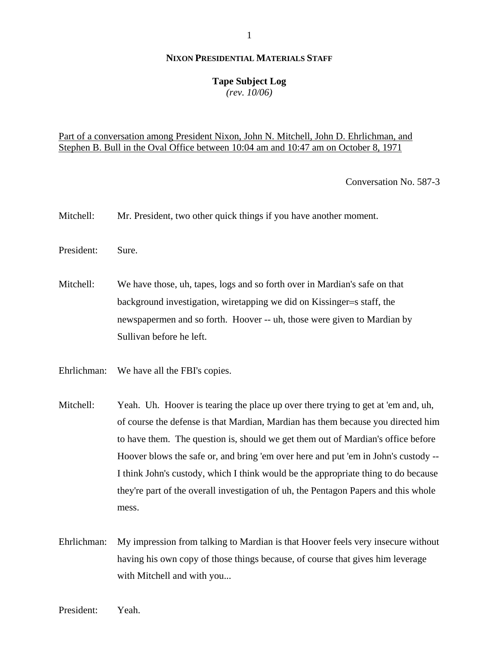### **Tape Subject Log**

*(rev. 10/06)*

## Part of a conversation among President Nixon, John N. Mitchell, John D. Ehrlichman, and Stephen B. Bull in the Oval Office between 10:04 am and 10:47 am on October 8, 1971

Conversation No. 587-3

- Mitchell: Mr. President, two other quick things if you have another moment.
- President: Sure.
- Mitchell: We have those, uh, tapes, logs and so forth over in Mardian's safe on that background investigation, wiretapping we did on Kissinger=s staff, the newspapermen and so forth. Hoover -- uh, those were given to Mardian by Sullivan before he left.
- Ehrlichman: We have all the FBI's copies.
- Mitchell: Yeah. Uh. Hoover is tearing the place up over there trying to get at 'em and, uh, of course the defense is that Mardian, Mardian has them because you directed him to have them. The question is, should we get them out of Mardian's office before Hoover blows the safe or, and bring 'em over here and put 'em in John's custody -- I think John's custody, which I think would be the appropriate thing to do because they're part of the overall investigation of uh, the Pentagon Papers and this whole mess.
- Ehrlichman: My impression from talking to Mardian is that Hoover feels very insecure without having his own copy of those things because, of course that gives him leverage with Mitchell and with you...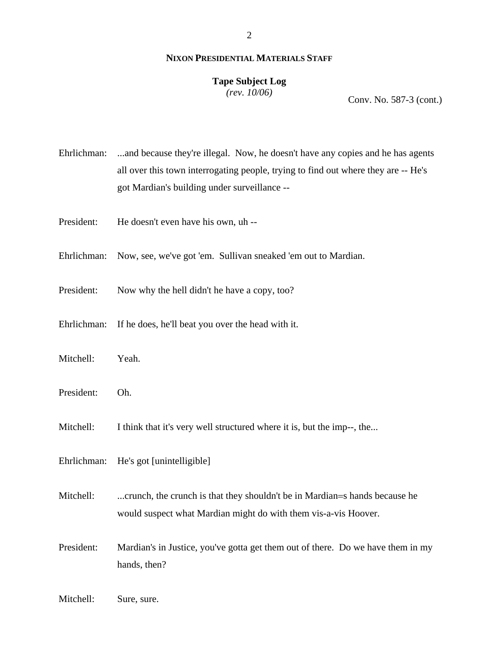### **Tape Subject Log**

*(rev. 10/06)*

Conv. No. 587-3 (cont.)

Ehrlichman: ...and because they're illegal. Now, he doesn't have any copies and he has agents all over this town interrogating people, trying to find out where they are -- He's got Mardian's building under surveillance --

- President: He doesn't even have his own, uh --
- Ehrlichman: Now, see, we've got 'em. Sullivan sneaked 'em out to Mardian.
- President: Now why the hell didn't he have a copy, too?
- Ehrlichman: If he does, he'll beat you over the head with it.
- Mitchell: Yeah.
- President: Oh.
- Mitchell: I think that it's very well structured where it is, but the imp--, the...
- Ehrlichman: He's got [unintelligible]

Mitchell: ...crunch, the crunch is that they shouldn't be in Mardian=s hands because he would suspect what Mardian might do with them vis-a-vis Hoover.

- President: Mardian's in Justice, you've gotta get them out of there. Do we have them in my hands, then?
- Mitchell: Sure, sure.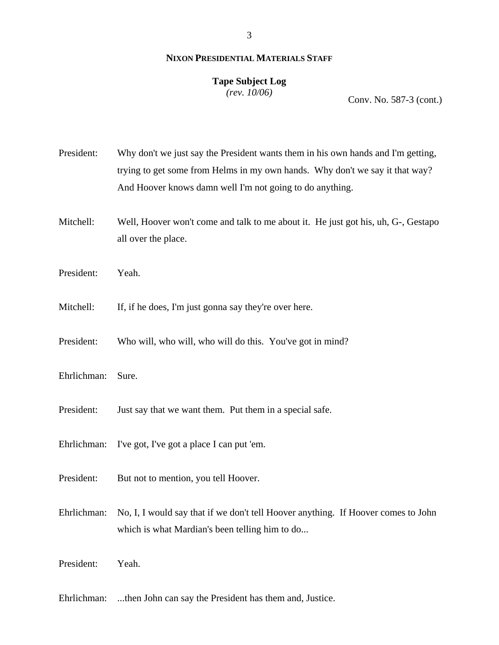### **Tape Subject Log**

*(rev. 10/06)*

Conv. No. 587-3 (cont.)

President: Why don't we just say the President wants them in his own hands and I'm getting, trying to get some from Helms in my own hands. Why don't we say it that way? And Hoover knows damn well I'm not going to do anything. Mitchell: Well, Hoover won't come and talk to me about it. He just got his, uh, G-, Gestapo all over the place. President: Yeah. Mitchell: If, if he does, I'm just gonna say they're over here. President: Who will, who will, who will do this. You've got in mind? Ehrlichman: Sure. President: Just say that we want them. Put them in a special safe. Ehrlichman: I've got, I've got a place I can put 'em.

- President: But not to mention, you tell Hoover.
- Ehrlichman: No, I, I would say that if we don't tell Hoover anything. If Hoover comes to John which is what Mardian's been telling him to do...
- President: Yeah.
- Ehrlichman: ...then John can say the President has them and, Justice.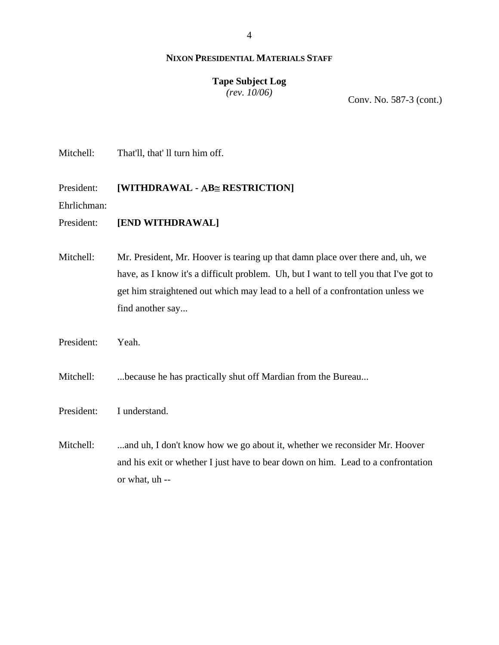# **Tape Subject Log**

*(rev. 10/06)*

Conv. No. 587-3 (cont.)

Mitchell: That'll, that' ll turn him off.

### President: **[WITHDRAWAL -** Α**B**≅ **RESTRICTION]**

Ehrlichman:

### President: **[END WITHDRAWAL]**

Mitchell: Mr. President, Mr. Hoover is tearing up that damn place over there and, uh, we have, as I know it's a difficult problem. Uh, but I want to tell you that I've got to get him straightened out which may lead to a hell of a confrontation unless we find another say...

President: Yeah.

Mitchell: ...because he has practically shut off Mardian from the Bureau...

President: I understand.

Mitchell: ...and uh, I don't know how we go about it, whether we reconsider Mr. Hoover and his exit or whether I just have to bear down on him. Lead to a confrontation or what, uh --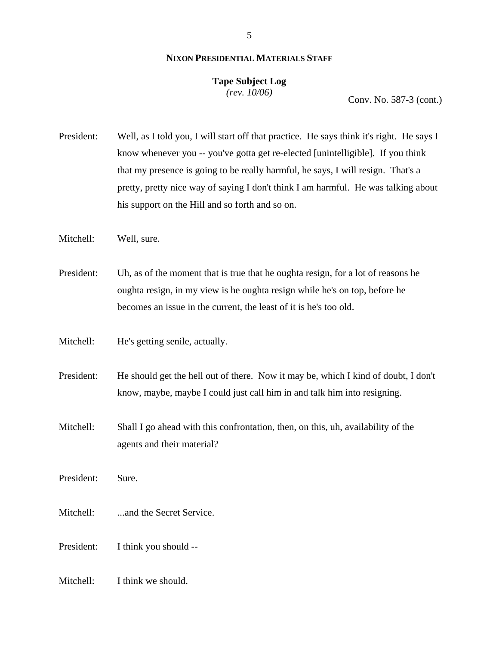## **Tape Subject Log**

*(rev. 10/06)*

Conv. No. 587-3 (cont.)

President: Well, as I told you, I will start off that practice. He says think it's right. He says I know whenever you -- you've gotta get re-elected [unintelligible]. If you think that my presence is going to be really harmful, he says, I will resign. That's a pretty, pretty nice way of saying I don't think I am harmful. He was talking about his support on the Hill and so forth and so on.

Mitchell: Well, sure.

President: Uh, as of the moment that is true that he oughta resign, for a lot of reasons he oughta resign, in my view is he oughta resign while he's on top, before he becomes an issue in the current, the least of it is he's too old.

Mitchell: He's getting senile, actually.

President: He should get the hell out of there. Now it may be, which I kind of doubt, I don't know, maybe, maybe I could just call him in and talk him into resigning.

Mitchell: Shall I go ahead with this confrontation, then, on this, uh, availability of the agents and their material?

President: Sure.

Mitchell: ...and the Secret Service.

President: I think you should --

Mitchell: I think we should.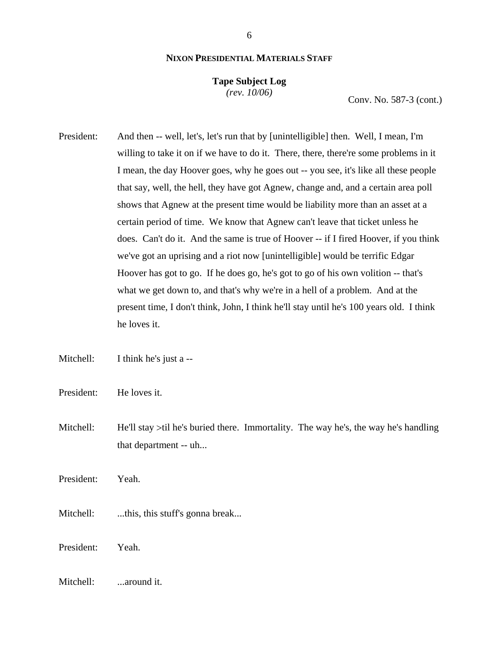### **Tape Subject Log**

*(rev. 10/06)*

Conv. No. 587-3 (cont.)

President: And then -- well, let's, let's run that by [unintelligible] then. Well, I mean, I'm willing to take it on if we have to do it. There, there, there're some problems in it I mean, the day Hoover goes, why he goes out -- you see, it's like all these people that say, well, the hell, they have got Agnew, change and, and a certain area poll shows that Agnew at the present time would be liability more than an asset at a certain period of time. We know that Agnew can't leave that ticket unless he does. Can't do it. And the same is true of Hoover -- if I fired Hoover, if you think we've got an uprising and a riot now [unintelligible] would be terrific Edgar Hoover has got to go. If he does go, he's got to go of his own volition -- that's what we get down to, and that's why we're in a hell of a problem. And at the present time, I don't think, John, I think he'll stay until he's 100 years old. I think he loves it.

Mitchell: I think he's just a --

President: He loves it.

Mitchell: He'll stay >til he's buried there. Immortality. The way he's, the way he's handling that department -- uh...

President: Yeah.

Mitchell: ...this, this stuff's gonna break...

President: Yeah.

Mitchell: ...around it.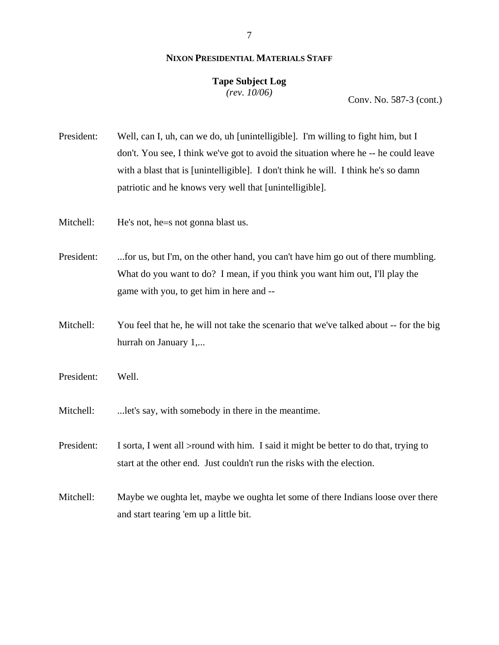### **Tape Subject Log**

*(rev. 10/06)*

Conv. No. 587-3 (cont.)

President: Well, can I, uh, can we do, uh [unintelligible]. I'm willing to fight him, but I don't. You see, I think we've got to avoid the situation where he -- he could leave with a blast that is [unintelligible]. I don't think he will. I think he's so damn patriotic and he knows very well that [unintelligible].

Mitchell: He's not, he = s not gonna blast us.

President: ...for us, but I'm, on the other hand, you can't have him go out of there mumbling. What do you want to do? I mean, if you think you want him out, I'll play the game with you, to get him in here and --

- Mitchell: You feel that he, he will not take the scenario that we've talked about -- for the big hurrah on January 1,...
- President: Well.
- Mitchell: ...let's say, with somebody in there in the meantime.

President: I sorta, I went all >round with him. I said it might be better to do that, trying to start at the other end. Just couldn't run the risks with the election.

Mitchell: Maybe we oughta let, maybe we oughta let some of there Indians loose over there and start tearing 'em up a little bit.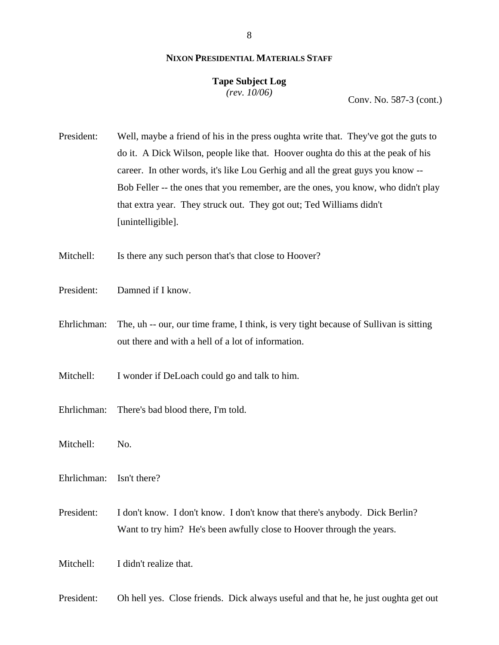### **Tape Subject Log**

*(rev. 10/06)*

Conv. No. 587-3 (cont.)

President: Well, maybe a friend of his in the press oughta write that. They've got the guts to do it. A Dick Wilson, people like that. Hoover oughta do this at the peak of his career. In other words, it's like Lou Gerhig and all the great guys you know -- Bob Feller -- the ones that you remember, are the ones, you know, who didn't play that extra year. They struck out. They got out; Ted Williams didn't [unintelligible].

Mitchell: Is there any such person that's that close to Hoover?

- President: Damned if I know.
- Ehrlichman: The, uh -- our, our time frame, I think, is very tight because of Sullivan is sitting out there and with a hell of a lot of information.
- Mitchell: I wonder if DeLoach could go and talk to him.
- Ehrlichman: There's bad blood there, I'm told.
- Mitchell: No.
- Ehrlichman: Isn't there?
- President: I don't know. I don't know. I don't know that there's anybody. Dick Berlin? Want to try him? He's been awfully close to Hoover through the years.
- Mitchell: I didn't realize that.

President: Oh hell yes. Close friends. Dick always useful and that he, he just oughta get out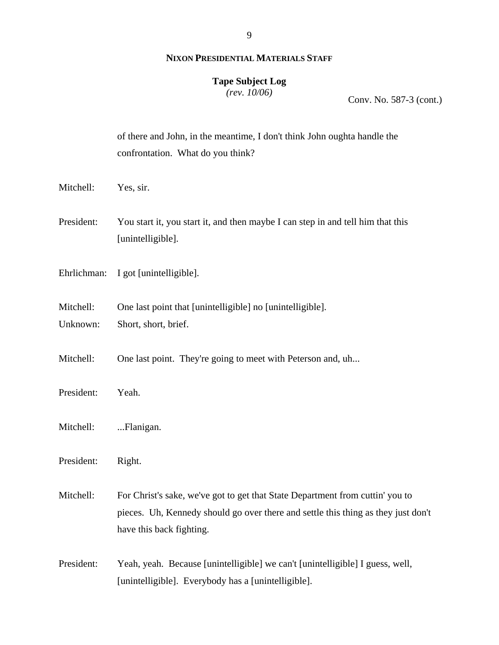#### **Tape Subject Log**

*(rev. 10/06)*

Conv. No. 587-3 (cont.)

|             | of there and John, in the meantime, I don't think John oughta handle the<br>confrontation. What do you think? |
|-------------|---------------------------------------------------------------------------------------------------------------|
| Mitchell:   | Yes, sir.                                                                                                     |
| President:  | You start it, you start it, and then maybe I can step in and tell him that this<br>[unintelligible].          |
| Ehrlichman: | I got [unintelligible].                                                                                       |
| Mitchell:   | One last point that [unintelligible] no [unintelligible].                                                     |
| Unknown:    | Short, short, brief.                                                                                          |
|             |                                                                                                               |
| Mitchell:   | One last point. They're going to meet with Peterson and, uh                                                   |
| President:  | Yeah.                                                                                                         |
| Mitchell:   | Flanigan.                                                                                                     |
|             |                                                                                                               |
| President:  | Right.                                                                                                        |
| Mitchell:   | For Christ's sake, we've got to get that State Department from cuttin' you to                                 |
|             | pieces. Uh, Kennedy should go over there and settle this thing as they just don't                             |
|             | have this back fighting.                                                                                      |
|             |                                                                                                               |
| President:  | Yeah, yeah. Because [unintelligible] we can't [unintelligible] I guess, well,                                 |
|             | [unintelligible]. Everybody has a [unintelligible].                                                           |